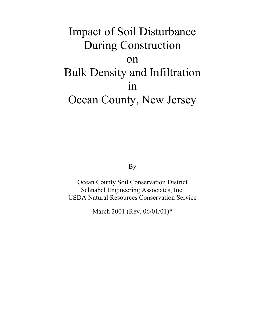# Impact of Soil Disturbance During Construction on Bulk Density and Infiltration in Ocean County, New Jersey

By

Ocean County Soil Conservation District Schnabel Engineering Associates, Inc. USDA Natural Resources Conservation Service

March 2001 (Rev. 06/01/01)\*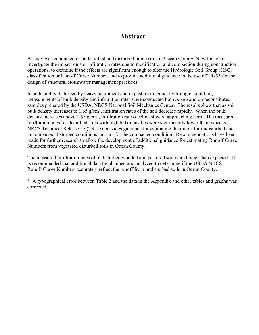# **Abstract**

A study was conducted of undisturbed and disturbed urban soils in Ocean County, New Jersey to investigate the impact on soil infiltration rates due to modification and compaction during construction operations, to examine if the effects are significant enough to alter the Hydrologic Soil Group (HSG) classification or Runoff Curve Number, and to provide additional guidance in the use of TR-55 for the design of structural stormwater management practices.

In soils highly disturbed by heavy equipment and in pasture in good hydrologic condition, measurements of bulk density and infiltration rates were conducted both *in situ* and on reconstituted samples prepared by the USDA, NRCS National Soil Mechanics Center. The results show that as soil bulk density increases to 1.65  $g/cm<sup>3</sup>$ , infiltration rates of the soil decrease rapidly. When the bulk density increases above 1.65 g/cm<sup>3</sup>, infiltration rates decline slowly, approaching zero. The measured infiltration rates for disturbed soils with high bulk densities were significantly lower than expected. NRCS Technical Release 55 (TR-55) provides guidance for estimating the runoff for undisturbed and uncompacted disturbed conditions, but not for the compacted condition. Recommendations have been made for further research to allow the development of additional guidance for estimating Runoff Curve Numbers from vegetated disturbed soils in Ocean County.

The measured infiltration rates of undisturbed wooded and pastured soil were higher than expected. It is recommended that additional data be obtained and analyzed to determine if the USDA NRCS Runoff Curve Numbers accurately reflect the runoff from undisturbed soils in Ocean County.

\* A typographical error between Table 2 and the data in the Appendix and other tables and graphs was corrected.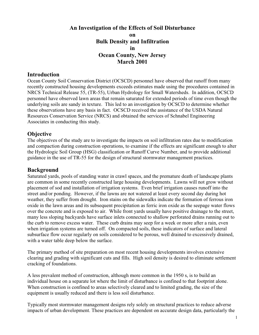# **An Investigation of the Effects of Soil Disturbance on Bulk Density and Infiltration in Ocean County, New Jersey March 2001**

#### **Introduction**

Ocean County Soil Conservation District (OCSCD) personnel have observed that runoff from many recently constructed housing developments exceeds estimates made using the procedures contained in NRCS Technical Release 55, (TR-55), Urban Hydrology for Small Watersheds. In addition, OCSCD personnel have observed lawn areas that remain saturated for extended periods of time even though the underlying soils are sandy in texture. This led to an investigation by OCSCD to determine whether these observations have any basis in fact. OCSCD received the assistance of the USDA Natural Resources Conservation Service (NRCS) and obtained the services of Schnabel Engineering Associates in conducting this study.

# **Objective**

The objectives of the study are to investigate the impacts on soil infiltration rates due to modification and compaction during construction operations, to examine if the effects are significant enough to alter the Hydrologic Soil Group (HSG) classification or Runoff Curve Number, and to provide additional guidance in the use of TR-55 for the design of structural stormwater management practices.

#### **Background**

Saturated yards, pools of standing water in crawl spaces, and the premature death of landscape plants are common in some recently constructed large housing developments. Lawns will not grow without placement of sod and installation of irrigation systems. Even brief irrigation causes runoff into the street and/or ponding. However, if the lawns are not watered at least every second day during hot weather, they suffer from drought. Iron stains on the sidewalks indicate the formation of ferrous iron oxide in the lawn areas and its subsequent precipitation as ferric iron oxide as the seepage water flows over the concrete and is exposed to air. While front yards usually have positive drainage to the street, many less sloping backyards have surface inlets connected to shallow perforated drains running out to the curb to remove excess water. These curb drains may seep for a week or more after a rain, even when irrigation systems are turned off. On compacted soils, these indicators of surface and lateral subsurface flow occur regularly on soils considered to be porous, well drained to excessively drained, with a water table deep below the surface.

The primary method of site preparation on most recent housing developments involves extensive clearing and grading with significant cuts and fills. High soil density is desired to eliminate settlement cracking of foundations.

A less prevalent method of construction, although more common in the 1950 s, is to build an individual house on a separate lot where the limit of disturbance is confined to that footprint alone. When construction is confined to areas selectively cleared and to limited grading, the size of the equipment is usually reduced and there is less soil disturbance.

Typically most stormwater management designs rely solely on structural practices to reduce adverse impacts of urban development. These practices are dependent on accurate design data, particularly the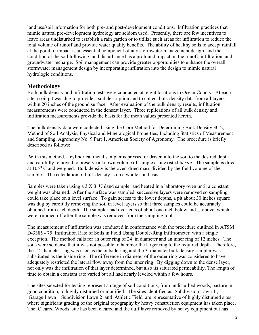land use/soil information for both pre- and post-development conditions. Infiltration practices that mimic natural pre-development hydrology are seldom used. Presently, there are few incentives to leave areas undisturbed to establish a rain garden or to utilize such areas for infiltration to reduce the total volume of runoff and provide water quality benefits. The ability of healthy soils to accept rainfall at the point of impact is an essential component of any stormwater management design, and the condition of the soil following land disturbance has a profound impact on the runoff, infiltration, and groundwater recharge. Soil management can provide greater opportunities to enhance the overall stormwater management design by incorporating infiltration into the design to mimic natural hydrologic conditions.

# **Methodology**

Both bulk density and infiltration tests were conducted at eight locations in Ocean County. At each site a soil pit was dug to provide a soil description and to collect bulk density data from all layers within 20 inches of the ground surface. After evaluation of the bulk density results, infiltration measurements were conducted in the densest layer. Three replications of all bulk density and infiltration measurements provide the basis for the mean values presented herein.

The bulk density data were collected using the Core Method for Determining Bulk Density 30-2, Method of Soil Analysis, Physical and Mineralogical Properties, Including Statistics of Measurement and Sampling, Agronomy No. 9 Part 1, American Society of Agronomy. The procedure is briefly described as follows:

With this method, a cylindrical metal sampler is pressed or driven into the soil to the desired depth and carefully removed to preserve a known volume of sample as it existed *in situ.* The sample is dried at 105° C and weighed. Bulk density is the oven-dried mass divided by the field volume of the sample. The calculation of bulk density is on a whole soil basis.

Samples were taken using a 3 X 3 Uhland sampler and heated in a laboratory oven until a constant weight was obtained. After the surface was sampled, successive layers were removed so sampling could take place on a level surface. To gain access to the lower depths, a pit about 30 inches square was dug by carefully removing the soil in level layers so that three samples could be accurately obtained from each depth. The sampler had over-cuts of about one inch below and \_ above, which were trimmed off after the sample was removed from the sampling tool.

The measurement of infiltration was conducted in conformance with the procedure outlined in ATSM D-3385 - 75 Infiltration Rate of Soils in Field Using Double-Ring Infiltrometer with a single exception. The method calls for an outer ring of 24 in diameter and an inner ring of 12 inches. The soils were so dense that it was not possible to hammer the larger ring to the required depth. Therefore, the 12 diameter ring was used as the outside ring and the 3 diameter bulk density sampler was substituted as the inside ring. The difference in diameter of the outer ring was considered to have adequately restricted the lateral flow away from the inner ring. By digging down to the dense layer, not only was the infiltration of that layer determined, but also its saturated permeability. The length of time to obtain a constant rate varied but all had nearly leveled within a few hours.

The sites selected for testing represent a range of soil conditions, from undisturbed woods, pasture in good condition, to highly disturbed or modified. The sites identified as Subdivision Lawn 1 , Garage Lawn , Subdivision Lawn 2 and Athletic Field are representative of highly disturbed sites where significant grading of the original topography by heavy construction equipment has taken place. The Cleared Woods site has been cleared and the duff layer removed by heavy equipment but has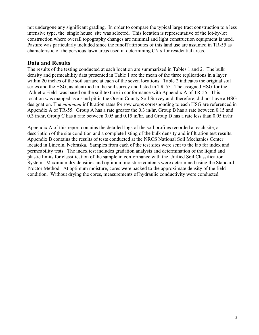not undergone any significant grading. In order to compare the typical large tract construction to a less intensive type, the single house site was selected. This location is representative of the lot-by-lot construction where overall topography changes are minimal and light construction equipment is used. Pasture was particularly included since the runoff attributes of this land use are assumed in TR-55 as characteristic of the pervious lawn areas used in determining CN s for residential areas.

# **Data and Results**

The results of the testing conducted at each location are summarized in Tables 1 and 2. The bulk density and permeability data presented in Table 1 are the mean of the three replications in a layer within 20 inches of the soil surface at each of the seven locations. Table 2 indicates the original soil series and the HSG, as identified in the soil survey and listed in TR-55. The assigned HSG for the Athletic Field was based on the soil texture in conformance with Appendix A of TR-55. This location was mapped as a sand pit in the Ocean County Soil Survey and, therefore, did not have a HSG designation. The *minimum* infiltration rates for row crops corresponding to each HSG are referenced in Appendix A of TR-55. Group A has a rate greater the 0.3 in/hr, Group B has a rate between 0.15 and 0.3 in/hr, Group C has a rate between 0.05 and 0.15 in/hr, and Group D has a rate less than 0.05 in/hr.

Appendix A of this report contains the detailed logs of the soil profiles recorded at each site, a description of the site condition and a complete listing of the bulk density and infiltration test results. Appendix B contains the results of tests conducted at the NRCS National Soil Mechanics Center located in Lincoln, Nebraska. Samples from each of the test sites were sent to the lab for index and permeability tests. The index test includes gradation analysis and determination of the liquid and plastic limits for classification of the sample in conformance with the Unified Soil Classification System. Maximum dry densities and optimum moisture contents were determined using the Standard Proctor Method. At optimum moisture, cores were packed to the approximate density of the field condition. Without drying the cores, measurements of hydraulic conductivity were conducted.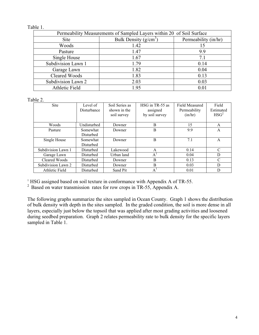#### Table 1.

| Permeability Measurements of Sampled Layers within 20 of Soil Surface |                         |                      |  |  |
|-----------------------------------------------------------------------|-------------------------|----------------------|--|--|
| Site                                                                  | Bulk Density $(g/cm^3)$ | Permeability (in/hr) |  |  |
| Woods                                                                 | 1.42                    | 15                   |  |  |
| Pasture                                                               | 1.47                    | 9.9                  |  |  |
| Single House                                                          | 1.67                    | 7.1                  |  |  |
| Subdivision Lawn 1                                                    | 1.79                    | 0.14                 |  |  |
| Garage Lawn                                                           | 1.82                    | 0.04                 |  |  |
| Cleared Woods                                                         | 1.83                    | 0.13                 |  |  |
| Subdivision Lawn 2                                                    | 2.03                    | 0.03                 |  |  |
| Athletic Field                                                        | 1.95                    | 0.01                 |  |  |

Table 2.

| Level of<br>Disturbance | Soil Series as<br>shown in the | HSG in TR-55 as | Field Measured<br>Permeability | Field<br>Estimated |
|-------------------------|--------------------------------|-----------------|--------------------------------|--------------------|
|                         | soil survey                    | by soil survey  | (in/hr)                        | HSG <sup>2</sup>   |
| Undisturbed             | Downer                         | B               | 15                             | A                  |
| Somewhat                | Downer                         | B               | 9.9                            | A                  |
| Disturbed               |                                |                 |                                |                    |
| Somewhat                | Downer                         | B               | 7.1                            | A                  |
| <b>Disturbed</b>        |                                |                 |                                |                    |
| <b>Disturbed</b>        | Lakewood                       | A               | 0.14                           | C                  |
| Disturbed               | Urban land                     | $A^{\prime}$    | 0.04                           | D                  |
| Disturbed               | Downer                         | B               | 0.13                           | C                  |
| Disturbed               | Downer                         | B               | 0.03                           | D                  |
| Disturbed               | Sand Pit                       | A'              | 0.01                           | D                  |
|                         |                                |                 | assigned                       |                    |

<sup>1</sup> HSG assigned based on soil texture in conformance with Appendix A of TR-55.

<sup>2</sup> Based on water transmission rates for row crops in TR-55, Appendix A.

The following graphs summarize the sites sampled in Ocean County. Graph 1 shows the distribution of bulk density with depth in the sites sampled. In the graded condition, the soil is more dense in all layers, especially just below the topsoil that was applied after most grading activities and loosened during seedbed preparation. Graph 2 relates permeability rate to bulk density for the specific layers sampled in Table 1.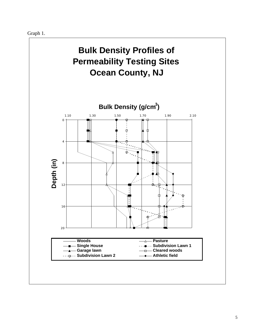Graph 1.

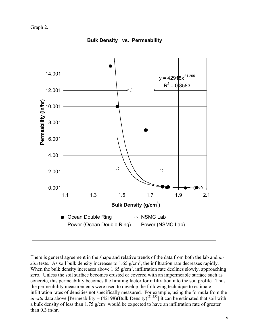Graph 2.



There is general agreement in the shape and relative trends of the data from both the lab and *in*situ tests. As soil bulk density increases to  $1.65$  g/cm<sup>3</sup>, the infiltration rate decreases rapidly. When the bulk density increases above 1.65  $g/cm<sup>3</sup>$ , infiltration rate declines slowly, approaching zero. Unless the soil surface becomes crusted or covered with an impermeable surface such as concrete, this permeability becomes the limiting factor for infiltration into the soil profile. Thus the permeability measurements were used to develop the following technique to estimate infiltration rates of densities not specifically measured. For example, using the formula from the *in-situ* data above [Permeability =  $(42198)(Bulk Density)^{-21.255}$ ] it can be estimated that soil with a bulk density of less than  $1.75$  g/cm<sup>3</sup> would be expected to have an infiltration rate of greater than 0.3 in/hr.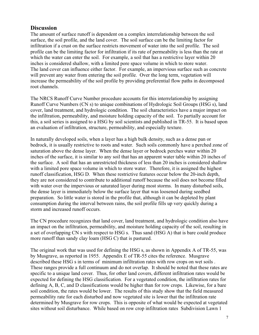# **Discussion**

The amount of surface runoff is dependent on a complex interrelationship between the soil surface, the soil profile, and the land cover. The soil surface can be the limiting factor for infiltration if a crust on the surface restricts movement of water into the soil profile. The soil profile can be the limiting factor for infiltration if its rate of permeability is less than the rate at which the water can enter the soil. For example, a soil that has a restrictive layer within 20 inches is considered shallow, with a limited pore space volume in which to store water. The land cover can influence either factor. For example, an impervious surface such as concrete will prevent any water from entering the soil profile. Over the long term, vegetation will increase the permeability of the soil profile by providing preferential flow paths in decomposed root channels.

The NRCS Runoff Curve Number procedure accounts for this interrelationship by assigning Runoff Curve Numbers (CN s) to unique combinations of Hydrologic Soil Groups (HSG s), land cover, land treatment, and hydrologic condition. The soil characteristics have a major impact on the infiltration, permeability, and moisture holding capacity of the soil. To partially account for this, a soil series is assigned to a HSG by soil scientists and published in TR-55. It is based upon an evaluation of infiltration, structure, permeability, and especially texture.

In naturally developed soils, when a layer has a high bulk density, such as a dense pan or bedrock, it is usually restrictive to roots and water. Such soils commonly have a perched zone of saturation above the dense layer. When the dense layer or bedrock perches water within 20 inches of the surface, it is similar to any soil that has an apparent water table within 20 inches of the surface. A soil that has an unrestricted thickness of less than 20 inches is considered shallow with a limited pore space volume in which to store water. Therefore, it is assigned the highest runoff classification, HSG D. When these restrictive features occur below the 20-inch depth, they are not considered to contribute to additional runoff because the soil does not become filled with water over the impervious or saturated layer during most storms. In many disturbed soils, the dense layer is immediately below the surface layer that was loosened during seedbed preparation. So little water is stored in the profile that, although it can be depleted by plant consumption during the interval between rains, the soil profile fills up very quickly during a storm and increased runoff occurs.

The CN procedure recognizes that land cover, land treatment, and hydrologic condition also have an impact on the infiltration, permeability, and moisture holding capacity of the soil, resulting in a set of overlapping CN s with respect to HSG s. Thus sand (HSG A) that is bare could produce more runoff than sandy clay loam (HSG C) that is pastured.

The original work that was used for defining the HSG s, as shown in Appendix A of TR-55, was by Musgrave, as reported in 1955. Appendix E of TR-55 cites the reference. Musgrave described these HSG s in terms of minimum infiltration rates with row crops on wet soils . These ranges provide a full continuum and do not overlap. It should be noted that these rates are specific to a unique land cover. Thus, for other land covers, different infiltration rates would be expected for defining the HSG classification. For a vegetated condition, the infiltration rates for defining A, B, C, and D classifications would be higher than for row crops. Likewise, for a bare soil condition, the rates would be lower. The results of this study show that the field measured permeability rate for each disturbed and now vegetated site is lower that the infiltration rate determined by Musgrave for row crops. This is opposite of what would be expected at vegetated sites without soil disturbance. While based on row crop infiltration rates Subdivision Lawn 1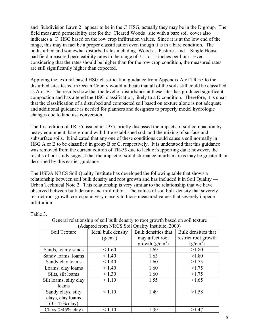and Subdivision Lawn 2 appear to be in the C HSG, actually they may be in the D group. The field measured permeability rate for the Cleared Woods site with a bare soil cover also indicates a C HSG based on the row crop infiltration values. Since it is at the low end of the range, this may in fact be a proper classification even though it is in a bare condition. The undisturbed and somewhat disturbed sites including Woods , Pasture , and Single House had field measured permeability rates in the range of 7.1 to 15 inches per hour. Even considering that the rates should be higher than for the row crop condition, the measured rates are still significantly higher than expected.

Applying the textural-based HSG classification guidance from Appendix A of TR-55 to the disturbed sites tested in Ocean County would indicate that all of the soils still could be classified as A or B. The results show that the level of disturbance at these sites has produced significant compaction and has altered the HSG classification, likely to a D condition. Therefore, it is clear that the classification of a disturbed and compacted soil based on texture alone is not adequate and additional guidance is needed for planners and designers to properly model hydrologic changes due to land use conversion.

The first edition of TR-55, issued in 1975, briefly discussed the impacts of soil compaction by heavy equipment, bare ground with little established sod, and the mixing of surface and subsurface soils. It indicated that any one of these conditions could cause a soil normally in HSG A or B to be classified in group B or C, respectively. It is understood that this guidance was removed from the current edition of TR-55 due to lack of supporting data; however, the results of our study suggest that the impact of soil disturbance in urban areas may be greater than described by this earlier guidance.

The USDA NRCS Soil Quality Institute has developed the following table that shows a relationship between soil bulk density and root growth and has included it in Soil Quality — Urban Technical Note 2. This relationship is very similar to the relationship that we have observed between bulk density and infiltration. The values of soil bulk density that severely restrict root growth correspond very closely to those measured values that severely impede infiltration.

| General relationship of soil bulk density to root growth based on soil texture<br>(Adapted from NRCS Soil Quality Institute, 2000) |                    |                     |                      |  |  |  |
|------------------------------------------------------------------------------------------------------------------------------------|--------------------|---------------------|----------------------|--|--|--|
|                                                                                                                                    |                    |                     |                      |  |  |  |
| Soil Texture                                                                                                                       | Ideal bulk density | Bulk densities that | Bulk densities that  |  |  |  |
|                                                                                                                                    | $(g/cm^3)$         | may affect root     | restrict root growth |  |  |  |
|                                                                                                                                    |                    | growth $(g/cm^3)$   | $(g/cm^3)$           |  |  |  |
| Sands, loamy sands                                                                                                                 | < 1.60             | 1.69                | >1.80                |  |  |  |
| Sandy loams, loams                                                                                                                 | < 1.40             | 1.63                | >1.80                |  |  |  |
| Sandy clay loams                                                                                                                   | < 1.40             | 1.60                | >1.75                |  |  |  |
| Loams, clay loams                                                                                                                  | < 1.40             | 1.60                | >1.75                |  |  |  |
| Silts, silt loams                                                                                                                  | < 1.30             | 1.60                | >1.75                |  |  |  |
| Silt loams, silty clay                                                                                                             | < 1.10             | 1.55                | >1.65                |  |  |  |
| loams                                                                                                                              |                    |                     |                      |  |  |  |
| Sandy clays, silty                                                                                                                 | < 1.10             | 1.49                | >1.58                |  |  |  |
| clays, clay loams                                                                                                                  |                    |                     |                      |  |  |  |
| $(35-45\% \text{ clay})$                                                                                                           |                    |                     |                      |  |  |  |
| Clays $($ >45% clay $)$                                                                                                            | < 1.10             | 1.39                | >1.47                |  |  |  |

Table 3.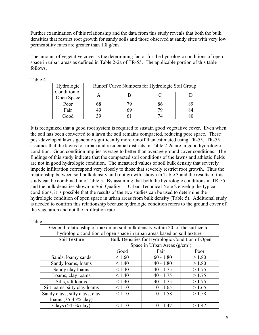Further examination of this relationship and the data from this study reveals that both the bulk densities that restrict root growth for sandy soils and those observed at sandy sites with very low permeability rates are greater than  $1.8 \text{ g/cm}^3$ .

The amount of vegetative cover is the determining factor for the hydrologic conditions of open space in urban areas as defined in Table 2-2a of TR-55. The applicable portion of this table follows.

| Hydrologic<br>Condition of | Runoff Curve Numbers for Hydrologic Soil Group |  |  |  |  |
|----------------------------|------------------------------------------------|--|--|--|--|
| Open Space                 |                                                |  |  |  |  |
| Poor                       | 68                                             |  |  |  |  |
| Fair                       | 49                                             |  |  |  |  |
| Good                       |                                                |  |  |  |  |

Table 4.

It is recognized that a good root system is required to sustain good vegetative cover. Even when the soil has been converted to a lawn the soil remains compacted, reducing pore space. These post-developed lawns generate significantly more runoff than estimated using TR-55. TR-55 assumes that the lawns for urban and residential districts in Table 2-2a are in good hydrologic condition. Good condition implies average to better than average ground cover conditions. The findings of this study indicate that the compacted soil conditions of the lawns and athletic fields are not in good hydrologic condition. The measured values of soil bulk density that severely impede infiltration correspond very closely to those that severely restrict root growth. Thus the relationship between soil bulk density and root growth, shown in Table 3 and the results of this study can be combined into Table 5. By assuming that both the hydrologic conditions in TR-55 and the bulk densities shown in Soil Quality — Urban Technical Note 2 envelop the typical conditions, it is possible that the results of the two studies can be used to determine the hydrologic condition of open space in urban areas from bulk density (Table 5). Additional study is needed to confirm this relationship because hydrologic condition refers to the ground cover of the vegetation and not the infiltration rate.

| <b>Table</b> |  |
|--------------|--|
|              |  |

| General relationship of maximum soil bulk density within 20 of the surface to |                                                                         |                                                 |        |  |  |  |
|-------------------------------------------------------------------------------|-------------------------------------------------------------------------|-------------------------------------------------|--------|--|--|--|
|                                                                               | hydrologic condition of open space in urban areas based on soil texture |                                                 |        |  |  |  |
| Soil Texture                                                                  |                                                                         | Bulk Densities for Hydrologic Condition of Open |        |  |  |  |
|                                                                               |                                                                         | Space in Urban Areas $(g/cm3)$                  |        |  |  |  |
|                                                                               | Good                                                                    | Fair                                            | Poor   |  |  |  |
| Sands, loamy sands                                                            | < 1.60                                                                  | $1.60 - 1.80$                                   | > 1.80 |  |  |  |
| Sandy loams, loams                                                            | < 1.40                                                                  | $1.40 - 1.80$                                   | > 1.80 |  |  |  |
| Sandy clay loams                                                              | < 1.40                                                                  | $1.40 - 1.75$                                   | >1.75  |  |  |  |
| Loams, clay loams                                                             | < 1.40                                                                  | $1.40 - 1.75$                                   | >1.75  |  |  |  |
| Silts, silt loams                                                             | < 1.30                                                                  | $1.30 - 1.75$                                   | >1.75  |  |  |  |
| Silt loams, silty clay loams                                                  | < 1.10                                                                  | $1.10 - 1.65$                                   | > 1.65 |  |  |  |
| Sandy clays, silty clays, clay                                                | < 1.10                                                                  | $1.10 - 1.58$                                   | >1.58  |  |  |  |
| loams $(35-45\%$ clay)                                                        |                                                                         |                                                 |        |  |  |  |
| Clays $($ >45% clay $)$                                                       | < 1.10                                                                  | $1.10 - 1.47$                                   | >1.47  |  |  |  |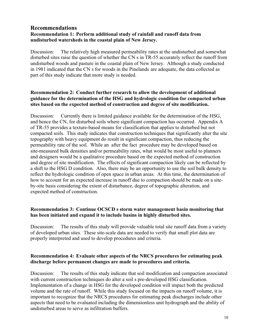#### **Recommendations Recommendation 1: Perform additional study of rainfall and runoff data from undisturbed watersheds in the coastal plain of New Jersey.**

Discussion: The relatively high measured permeability rates at the undisturbed and somewhat disturbed sites raise the question of whether the CN s in TR-55 accurately reflect the runoff from undisturbed woods and pasture in the coastal plain of New Jersey. Although a study conducted in 1981 indicated that the CN s for woods in the Pinelands are adequate, the data collected as part of this study indicate that more study is needed.

#### **Recommendation 2: Conduct further research to allow the development of additional guidance for the determination of the HSG and hydrologic condition for compacted urban sites based on the expected method of construction and degree of site modification.**

Discussion: Currently there is limited guidance available for the determination of the HSG, and hence the CN, for disturbed soils where significant compaction has occurred. Appendix A of TR-55 provides a texture-based means for classification that applies to disturbed but not compacted soils. This study indicates that construction techniques that significantly alter the site topography with heavy equipment do result in significant compaction, thus reducing the permeability rate of the soil. While an after the fact procedure may be developed based on site-measured bulk densities and/or permeability rates, what would be most useful to planners and designers would be a qualitative procedure based on the expected method of construction and degree of site modification. The effects of significant compaction likely can be reflected by a shift to the HSG D condition. Also, there may be an opportunity to use the soil bulk density to reflect the hydrologic condition of open space in urban areas. At this time, the determination of how to account for an expected increase in runoff due to compaction should be made on a siteby-site basis considering the extent of disturbance, degree of topographic alteration, and expected method of construction.

#### **Recommendation 3: Continue OCSCD s storm water management basin monitoring that has been initiated and expand it to include basins in highly disturbed sites.**

Discussion: The results of this study will provide valuable total site runoff data from a variety of developed urban sites. These site-scale data are needed to verify that small plot data are properly interpreted and used to develop procedures and criteria.

#### **Recommendation 4: Evaluate other aspects of the NRCS procedures for estimating peak discharge before permanent changes are made to procedures and criteria.**

Discussion: The results of this study indicate that soil modification and compaction associated with current construction techniques do alter a soil s pre-developed HSG classification. Implementation of a change in HSG for the developed condition will impact both the predicted volume and the rate of runoff. While this study focused on the impacts on runoff volume, it is important to recognize that the NRCS procedures for estimating peak discharges include other aspects that need to be evaluated including the dimensionless unit hydrograph and the ability of undisturbed areas to serve as infiltration buffers.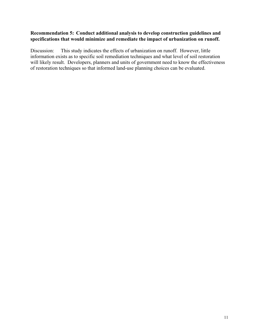#### **Recommendation 5: Conduct additional analysis to develop construction guidelines and specifications that would minimize and remediate the impact of urbanization on runoff.**

Discussion: This study indicates the effects of urbanization on runoff. However, little information exists as to specific soil remediation techniques and what level of soil restoration will likely result. Developers, planners and units of government need to know the effectiveness of restoration techniques so that informed land-use planning choices can be evaluated.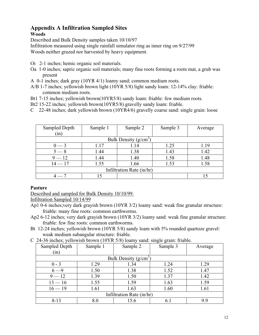#### **Appendix A Infiltration Sampled Sites Woods**

Described and Bulk Density samples taken 10/10/97 Infiltration measured using single rainfall simulator ring as inner ring on 9/27/99

Woods neither grazed nor harvested by heavy equipment.

- Oi 2-1 inches; hemic organic soil materials.
- Oa 1-0 inches; sapric organic soil materials; many fine roots forming a roots mat, a grub was present
- A 0-1 inches; dark gray (10YR 4/1) loamy sand; common medium roots.
- A/B 1-7 inches; yellowish brown light (10YR 5/8) light sandy loam: 12-14% clay: friable: common medium roots.
- Bt1 7-15 inches; yellowish brown(10YR5/8) sandy loam: friable: few medium roots.
- Bt2 15-22 inches; yellowish brown(10YR5/8) gravelly sandy loam: friable.
- C 22-48 inches; dark yellowish brown (10YR4/6) gravelly coarse sand: single grain: loose

| Sampled Depth<br>(in) | Sample 1 | Sample 2                  | Sample 3 | Average |
|-----------------------|----------|---------------------------|----------|---------|
|                       |          | Bulk Density $(g/cm3)$    |          |         |
| $0 - 3$               | 1.17     | 1.14                      | 1.25     | 1.19    |
| $5 - 8$               | 1.44     | 1.38                      | 1.43     | 1.42    |
| $9 - 12$              | 1.44     | 1.40                      | 1.58     | 1.48    |
| $14 - 17$             | 1.55     | 1.66                      | 1.53     | 1.58    |
|                       |          | Infiltration Rate (in/hr) |          |         |
|                       |          |                           |          |         |

#### **Pasture**

Described and sampled for Bulk Density 10/10/99.

Infiltration Sampled 10/14/99

- Ap1 0-6 inches;very dark grayish brown (10YR 3/2) loamy sand: weak fine granular structure: friable: many fine roots: common earthworms.
- Ap2 6-12 inches; very dark grayish brown (10YR 3/2) loamy sand: weak fine granular structure: friable: few fine roots: common earthworms.
- Bt 12-24 inches; yellowish brown (10YR 5/8) sandy loam with 5% rounded quartoze gravel: weak medium subangular structure: friable.
- C 24-36 inches; yellowish brown (10YR 5/8) loamy sand: single grain: friable.

| Sampled Depth             | Sample 1 | Sample 2                | Sample 3 | Average |  |
|---------------------------|----------|-------------------------|----------|---------|--|
| (in)                      |          |                         |          |         |  |
|                           |          | Bulk Density $(g/cm^3)$ |          |         |  |
| $0 - 3$                   | 1.29     | 1.34                    | 1.24     | 1.29    |  |
| $6 - 9$                   | 1.50     | 1.38                    | 1.52     | 1.47    |  |
| $9 - 12$                  | 1.39     | 1.50                    | 1.37     | 1.42    |  |
| $13 - 16$                 | 1.55     | 1.59                    | 1.63     | 1.59    |  |
| $16 - 19$                 | 1.61     | 1.63                    | 1.60     | 1.61    |  |
| Infiltration Rate (in/hr) |          |                         |          |         |  |
| $8 - 13$                  | 8.0      | 15.6                    | 6.1      | 9.9     |  |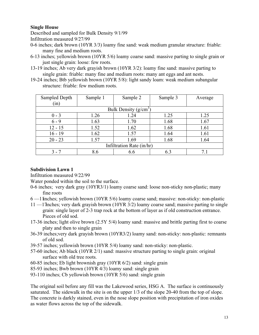#### **Single House**

Described and sampled for Bulk Density 9/1/99 Infiltration measured 9/27/99

- 0-6 inches; dark brown (10YR 3/3) loamy fine sand: weak medium granular structure: friable: many fine and medium roots.
- 6-13 inches; yellowish brown (10YR 5/6) loamy coarse sand: massive parting to single grain or just single grain: loose: few roots.
- 13-19 inches; Ab very dark grayish brown (10YR 3/2): loamy fine sand: massive parting to single grain: friable: many fine and medium roots: many ant eggs and ant nests.
- 19-24 inches; Btb yellowish brown (10YR 5/8): light sandy loam: weak medium subangular structure: friable: few medium roots.

| Sampled Depth             | Sample 1 | Sample 2               | Sample 3 | Average |  |
|---------------------------|----------|------------------------|----------|---------|--|
| (in)                      |          |                        |          |         |  |
|                           |          | Bulk Density $(g/cm3)$ |          |         |  |
| $0 - 3$                   | 1.26     | 1.24                   | 1.25     | 1.25    |  |
| $6 - 9$                   | 1.63     | 1.70                   | 1.68     | 1.67    |  |
| $12 - 15$                 | 1.52     | 1.62                   | 1.68     | 1.61    |  |
| $16 - 19$                 | 1.62     | 1.57                   | 1.64     | 1.61    |  |
| $20 - 23$                 | 1.57     | 1.69                   | 1.68     | 1.64    |  |
| Infiltration Rate (in/hr) |          |                        |          |         |  |
| 3 - 7                     | 8.6      | 6.6                    | 6.3      | 7.1     |  |

#### **Subdivision Lawn 1**

Infiltration measured 9/22/99

Water ponded within the soil to the surface.

- 0-6 inches; very dark gray (10YR3/1) loamy coarse sand: loose non-sticky non-plastic; many fine roots
- 6 —11 inches; yellowish brown (10YR 5/6) loamy coarse sand; massive: non-sticky: non-plastic
- 11 —17 inches; very dark grayish brown (10YR 3/2) loamy coarse sand; massive parting to single grain: single layer of 2-3 trap rock at the bottom of layer as if old construction entrance. Pieces of old sod.
- 17-36 inches; light olive brown (2.5Y 5/4) loamy sand: massive and brittle parting first to coarse platy and then to single grain
- 36-39 inches;very dark grayish brown (10YR3/2) loamy sand: non-sticky: non-plastic: remnants of old sod.
- 39-57 inches; yellowish brown (10YR 5/4) loamy sand: non-sticky: non-plastic.
- 57-60 inches; Ab black (10YR 2/1) sand: massive structure parting to single grain: original surface with old tree roots.
- 60-85 inches; Eb light brownish gray (10YR 6/2) sand: single grain
- 85-93 inches; Bwb brown (10YR 4/3) loamy sand: single grain
- 93-110 inches; Cb yellowish brown (10YR 5/6) sand: single grain

The original soil before any fill was the Lakewood series, HSG A. The surface is continuously saturated. The sidewalk in the site is on the upper 1/3 of the slope 20-40 from the top of slope. The concrete is darkly stained, even in the nose slope position with precipitation of iron oxides as water flows across the top of the sidewalk.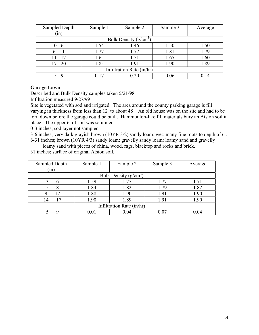| Sampled Depth             | Sample 1 | Sample 2                | Sample 3 | Average |  |
|---------------------------|----------|-------------------------|----------|---------|--|
| (in)                      |          |                         |          |         |  |
|                           |          | Bulk Density $(g/cm^3)$ |          |         |  |
| $0 - 6$                   | 1.54     | 1.46                    | 1.50     | 1.50    |  |
| $6 - 11$                  | 1.77     | 1.77                    | 1.81     | 1.79    |  |
| $11 - 17$                 | 1.65     | 1.51                    | 1.65     | 1.60    |  |
| $17 - 20$                 | 1.85     | 1.91                    | 1.90     | 1.89    |  |
| Infiltration Rate (in/hr) |          |                         |          |         |  |
| $5 - 9$                   | 0.17     | 0.20                    | 0.06     | 0.14    |  |

#### **Garage Lawn**

Described and Bulk Density samples taken 5/21/98

Infiltration measured 9/27/99

Site is vegetated with sod and irrigated. The area around the county parking garage is fill varying in thickness from less than 12 to about 48 . An old house was on the site and had to be torn down before the garage could be built. Hammonton-like fill materials bury an Atsion soil in place. The upper 6 of soil was saturated.

0-3 inches; sod layer not sampled

3-6 inches; very dark grayish brown (10YR 3/2) sandy loam: wet: many fine roots to depth of 6 . 6-31 inches; brown (10YR 4/3) sandy loam: gravelly sandy loam: loamy sand and gravelly

loamy sand with pieces of china, wood, rags, blacktop and rocks and brick.

31 inches; surface of original Atsion soil,

| Sampled Depth | Sample 1 | Sample 2                  | Sample 3 | Average |
|---------------|----------|---------------------------|----------|---------|
| (in)          |          |                           |          |         |
|               |          | Bulk Density $(g/cm^3)$   |          |         |
| $3 - 6$       | 1.59     | 1.77                      | 1.77     | 1.71    |
| $5 - 8$       | 1.84     | 1.82                      | 1.79     | 1.82    |
| $9 - 12$      | 1.88     | 1.90                      | 1.91     | 1.90    |
| $14 - 17$     | 1.90     | 1.89                      | 1.91     | 1.90    |
|               |          | Infiltration Rate (in/hr) |          |         |
|               | 0.01     | 0.04                      |          | 0.04    |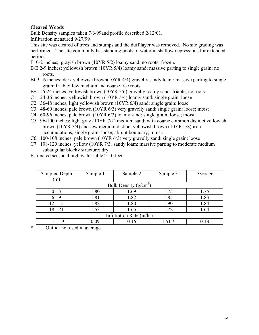# **Cleared Woods**

Bulk Density samples taken 7/6/99and profile described 2/12/01.

Infiltration measured 9/27/99

This site was cleared of trees and stumps and the duff layer was removed. No site grading was performed. The site commonly has standing pools of water in shallow depressions for extended periods

- E 0-2 inches; grayish brown (10YR 5/2) loamy sand, no roots; frozen.
- B/E 2-9 inches; yellowish brown (10YR 5/4) loamy sand; massive parting to single grain; no roots.
- Bt 9-16 inches; dark yellowish brown(10YR 4/4) gravelly sandy loam: massive parting to single grain; friable: few medium and coarse tree roots.
- B/C 16-24 inches; yellowish brown (10YR 5/6) gravelly loamy sand: friable; no roots.
- C1 24-36 inches; yellowish brown (10YR 5/4) loamy sand: single grain: loose
- C2 36-48 inches; light yellowish brown (10YR 6/4) sand: single grain: loose
- C3 48-60 inches; pale brown (10YR 6/3) very gravelly sand: single grain: loose; moist
- C4 60-96 inches; pale brown (10YR 6/3) loamy sand; single grain; loose; moist.
- C5 96-100 inches; light gray (10YR 7/2) medium sand; with coarse common distinct yellowish brown (10YR 5/4) and few medium distinct yellowish brown (10YR 5/8) iron accumulations; single grain: loose; abrupt boundary; moist.
- C6 100-108 inches; pale brown (10YR 6/3) very gravelly sand: single grain: loose
- C7 108-120 inches; yellow (10YR 7/3) sandy loam: massive parting to moderate medium subangular blocky structure; dry.

Estimated seasonal high water table > 10 feet.

| Sampled Depth             | Sample 1 | Sample 2               | Sample 3 | Average |  |
|---------------------------|----------|------------------------|----------|---------|--|
| (in)                      |          |                        |          |         |  |
|                           |          | Bulk Density $(g/cm3)$ |          |         |  |
| $0 - 3$                   | 1.80     | 1.69                   | 1.75     | 1.75    |  |
| $6 - 9$                   | 1.81     | 1.82                   | 1.85     | 1.83    |  |
| $12 - 15$                 | 1.82     | 1.80                   | 1.90     | 1.84    |  |
| $18 - 21$                 | 1.53     | 1.65                   | 1.72     | 1.64    |  |
| Infiltration Rate (in/hr) |          |                        |          |         |  |
| $5 - 9$                   | 0.09     | 0.16                   | $1.51*$  | 0.13    |  |

\* Outlier not used in average.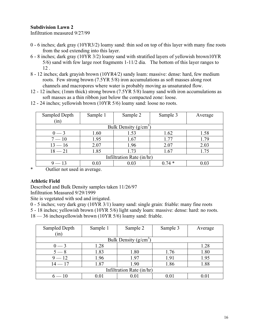# **Subdivision Lawn 2**

Infiltration measured 9/27/99

- 0 6 inches; dark gray (10YR3/2) loamy sand: thin sod on top of this layer with many fine roots from the sod extending into this layer.
- 6 8 inches; dark gray (10YR 3/2) loamy sand with stratified layers of yellowish brown10YR 5/6) sand with few large root fragments 1-11/2 dia. The bottom of this layer ranges to 12 .
- 8 12 inches; dark grayish brown (10YR4/2) sandy loam: massive: dense: hard, few medium roots. Few strong brown (7.5YR 5/8) iron accumulations as soft masses along root channels and macropores where water is probably moving as unsaturated flow.
- 12 12 inches; (1mm thick) strong brown (7.5YR 5/8) loamy sand with iron accumulations as soft masses as a thin ribbon just below the compacted zone: loose.
- 12 24 inches; yellowish brown (10YR 5/6) loamy sand: loose no roots.

| Sample 1                  | Sample 2 | Sample 3 | Average |  |  |  |  |  |  |  |  |  |
|---------------------------|----------|----------|---------|--|--|--|--|--|--|--|--|--|
|                           |          |          |         |  |  |  |  |  |  |  |  |  |
| Bulk Density $(g/cm3)$    |          |          |         |  |  |  |  |  |  |  |  |  |
| 1.60                      | 1.53     | 1.62     | 1.58    |  |  |  |  |  |  |  |  |  |
| 1.95                      | 1.67     | 1.77     | 1.79    |  |  |  |  |  |  |  |  |  |
| 2.07                      | 1.96     | 2.07     | 2.03    |  |  |  |  |  |  |  |  |  |
| 1.85                      | 1.73     | 1.67     | 1.75    |  |  |  |  |  |  |  |  |  |
| Infiltration Rate (in/hr) |          |          |         |  |  |  |  |  |  |  |  |  |
| 0.03                      | 0.03     | $0.74*$  | 0.03    |  |  |  |  |  |  |  |  |  |
|                           |          |          |         |  |  |  |  |  |  |  |  |  |

\* Outlier not used in average.

#### **Athletic Field**

Described and Bulk Density samples taken 11/26/97 Infiltration Measured 9/29/1999

Site is vegetated with sod and irrigated.

0 - 5 inches; very dark gray (10YR 3/1) loamy sand: single grain: friable: many fine roots

5 - 18 inches; yellowish brown (10YR 5/6) light sandy loam: massive: dense: hard: no roots.

18 — 36 inches yellowish brown (10YR 5/6) loamy sand: friable.

| Sampled Depth<br>(in)     | Sample 1 | Sample 2 | Sample 3 | Average |  |  |  |  |  |  |  |  |  |
|---------------------------|----------|----------|----------|---------|--|--|--|--|--|--|--|--|--|
| Bulk Density $(g/cm^3)$   |          |          |          |         |  |  |  |  |  |  |  |  |  |
| $0 - 3$                   | 1.28     |          |          | 1.28    |  |  |  |  |  |  |  |  |  |
| $5 - 8$                   | 1.83     | 1.80     | 1.76     | 1.80    |  |  |  |  |  |  |  |  |  |
| $9 - 12$                  | 1.96     | 1.97     | 1.91     | 1.95    |  |  |  |  |  |  |  |  |  |
| $14 - 17$                 | 1.87     | 1.90     | 1.86     | 1.88    |  |  |  |  |  |  |  |  |  |
| Infiltration Rate (in/hr) |          |          |          |         |  |  |  |  |  |  |  |  |  |
| $=10$                     | 0.01     | 0.01     | 0.01     |         |  |  |  |  |  |  |  |  |  |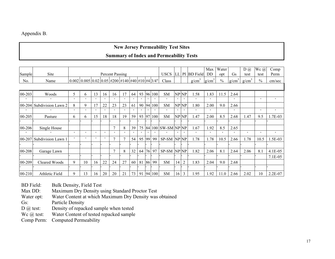# Appendix B.

# **New Jersey Permeability Test Sites Summary of Index and Permeability Tests**

| Sample     | Site                      |         |                                                                                                                         |         |         | <b>Percent Passing</b> |               |         |         |         |         | <b>USCS</b>       | LL      |                  | PI BD Field       | Max<br>DD | Water<br>opt  | Gs       | $D(\mathcal{Q})$<br>test | Wc@<br>test   | Comp<br>Perm |
|------------|---------------------------|---------|-------------------------------------------------------------------------------------------------------------------------|---------|---------|------------------------|---------------|---------|---------|---------|---------|-------------------|---------|------------------|-------------------|-----------|---------------|----------|--------------------------|---------------|--------------|
| No.        | Name                      |         | $\vert 0.002 \vert 0.005 \vert 0.02 \vert 0.05 \vert \# 200 \vert \# 140 \vert \# 40 \vert \# 10 \vert \# 4 \vert 3/4"$ |         |         |                        |               |         |         |         |         | Class             |         |                  | g/cm <sup>3</sup> | $g/cm^3$  | $\frac{0}{0}$ | $g/cm^3$ | g/cm <sup>3</sup>        | $\frac{0}{0}$ | cm/sec       |
|            |                           |         |                                                                                                                         |         |         |                        |               |         |         |         |         |                   |         |                  |                   |           |               |          |                          |               |              |
| $00 - 203$ | Woods                     | 5       | 6                                                                                                                       | 13      | 16      | 16                     | 17            | 64      | 93      |         | 96 100  | <b>SM</b>         |         | NP NP            | 1.58              | 1.83      | 11.5          | 2.64     |                          |               |              |
| $\circ$    | $\circ$                   | $\circ$ | $\circ$                                                                                                                 | $\circ$ | $\circ$ | $\circ$                | $\circ$       | $\circ$ | $\circ$ | $\circ$ | $\circ$ | $\circ$           | $\circ$ | $\circ$          | $\circ$           | $\circ$   |               | $\circ$  |                          | $\circ$       | $\circ$      |
|            | 00-204 Subdivision Lawn 2 | 8       | 9                                                                                                                       |         | 22      | 23                     | 23            | 61      | 90      | 94      | 100     | <b>SM</b>         | NP      | NP               | 1.80              | 2.00      | 9.0           | 2.66     |                          |               |              |
| $\circ$    | $\circ$                   | $\circ$ | $\circ$                                                                                                                 | $\circ$ | $\circ$ | $\circ$                | $\circ$       | $\circ$ | $\circ$ | $\circ$ | $\circ$ | $\circ$           | $\circ$ | $\circ$          | $\circ$           | $\circ$   |               | $\circ$  |                          | $\circ$       | $\circ$      |
| 00-205     | Pasture                   | 6       | 6                                                                                                                       | 15      | 18      | 18                     | 19            | 59      | 93      | 97      | 100     | <b>SM</b>         |         | NPNP             | 1.47              | 2.00      | 8.5           | 2.68     | .47                      | 9.5           | 1.7E-03      |
|            |                           |         |                                                                                                                         |         |         |                        |               |         |         |         |         |                   |         |                  |                   |           |               |          |                          |               |              |
| 00-206     | Single House              |         |                                                                                                                         |         |         | $\overline{ }$         | 8             | 39      | 75      | 84      |         | $100$ SW-SM NP NP |         |                  | 1.67              | 1.92      | 8.5           | 2.65     |                          |               |              |
| $\circ$    | $\circ$                   | $\circ$ | $\circ$                                                                                                                 | $\circ$ | $\circ$ | $\circ$                | $\circ$       | $\circ$ | $\circ$ |         |         | $\circ$           | $\circ$ |                  | $\circ$           | $\circ$   | $\circ$       | $\circ$  | $\circ$                  | $\circ$       | $\circ$      |
|            | 00-207 Subdivision Lawn 1 | $\circ$ | $\circ$                                                                                                                 | $\circ$ | $\circ$ |                        | $\mathcal{I}$ | 54      | 95      | 99      | 99      | SP-SM             |         | NP <sub>NP</sub> | 1.78              | 1.78      | 10.5          | 2.66     | 1.78                     | 10.5          | 1.5E-03      |
|            |                           |         |                                                                                                                         |         |         |                        |               |         |         |         |         |                   |         |                  |                   |           |               |          |                          |               |              |
| 00-208     | Garage Lawn               |         |                                                                                                                         |         |         | $\overline{ }$         | 8             | 32      | 64      | 76      | 97      | SP-SM NP NP       |         |                  | 1.82              | 2.06      | 8.1           | 2.64     | 2.06                     | 8.1           | 4.1E-05      |
|            |                           |         |                                                                                                                         |         |         |                        |               |         |         |         |         |                   |         |                  |                   |           |               |          |                          |               | 7.1E-05      |
| 00-209     | Cleared Woods             | 9       | 10                                                                                                                      | 16      | 22      | 24                     | 27            | 60      | 81      | 86      | 99      | <b>SM</b>         | 14      | $\overline{2}$   | 1.83              | 2.04      | 9.0           | 2.68     |                          |               |              |
|            |                           |         |                                                                                                                         |         |         |                        |               |         |         |         |         |                   |         |                  |                   |           |               |          |                          |               |              |
| $00 - 210$ | Athletic Field            | 9       | 13                                                                                                                      | 16      | 20      | 20                     | 21            | 73      | 91      |         | 94 100  | <b>SM</b>         | 16      | 3                | 1.95              | 1.92      | 11.0          | 2.66     | 2.02                     | 10            | $2.2E-07$    |

BD Field: Bulk Density, Field Test<br>Max DD: Maximum Dry Density u

Maximum Dry Density using Standard Proctor Test

Water opt: Water Content at which Maximum Dry Density was obtained

Gs: Particle Density

D @ test: Density of repacked sample when tested

Wc @ test: Water Content of tested repacked sample

Comp Perm: Computed Permeability